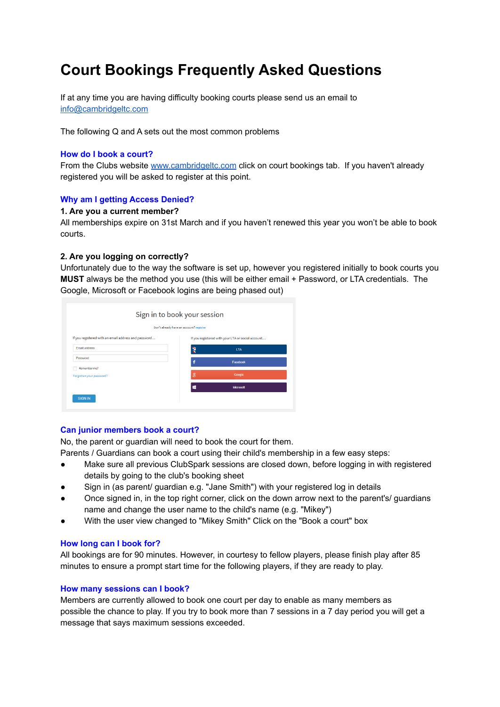# **Court Bookings Frequently Asked Questions**

If at any time you are having difficulty booking courts please send us an email to [info@cambridgeltc.com](mailto:info@cambridge.cltc.com)

The following Q and A sets out the most common problems

## **How do I book a court?**

From the Clubs website [www.cambridgeltc.com](http://www.cambridgeltc.com) click on court bookings tab. If you haven't already registered you will be asked to register at this point.

# **Why am I getting Access Denied?**

#### **1. Are you a current member?**

All memberships expire on 31st March and if you haven't renewed this year you won't be able to book courts.

## **2. Are you logging on correctly?**

Unfortunately due to the way the software is set up, however you registered initially to book courts you **MUST** always be the method you use (this will be either email + Password, or LTA credentials. The Google, Microsoft or Facebook logins are being phased out)

|                                                      | Don't already have an account? register |                                                   |  |  |
|------------------------------------------------------|-----------------------------------------|---------------------------------------------------|--|--|
| If you registered with an email address and password |                                         | If you registered with your LTA or social account |  |  |
| <b>Email address</b>                                 |                                         | <b>LTA</b>                                        |  |  |
| Password                                             |                                         | Facebook                                          |  |  |
| Remember me?                                         |                                         |                                                   |  |  |
| Forgotten your password?                             | Я                                       | Google                                            |  |  |
|                                                      |                                         | <b>Microsoft</b>                                  |  |  |

#### **Can junior members book a court?**

No, the parent or guardian will need to book the court for them.

Parents / Guardians can book a court using their child's membership in a few easy steps:

- Make sure all previous ClubSpark sessions are closed down, before logging in with registered details by going to the club's booking sheet
- Sign in (as parent/ guardian e.g. "Jane Smith") with your registered log in details
- Once signed in, in the top right corner, click on the down arrow next to the parent's/ guardians name and change the user name to the child's name (e.g. "Mikey")
- With the user view changed to "Mikey Smith" Click on the "Book a court" box

#### **How long can I book for?**

All bookings are for 90 minutes. However, in courtesy to fellow players, please finish play after 85 minutes to ensure a prompt start time for the following players, if they are ready to play.

#### **How many sessions can I book?**

Members are currently allowed to book one court per day to enable as many members as possible the chance to play. If you try to book more than 7 sessions in a 7 day period you will get a message that says maximum sessions exceeded.